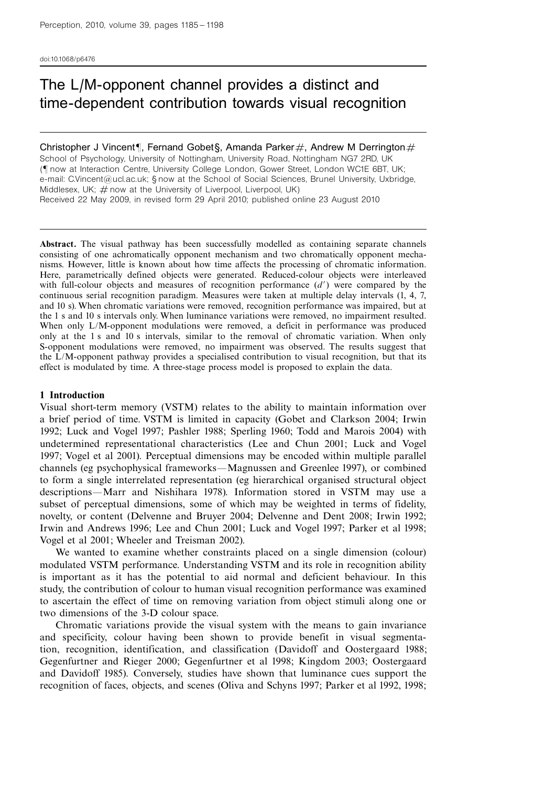doi:10.1068/p6476

# The L/M-opponent channel provides a distinct and time-dependent contribution towards visual recognition

Christopher J Vincent¶, Fernand Gobet§, Amanda Parker#, Andrew M Derrington# School of Psychology, University of Nottingham, University Road, Nottingham NG7 2RD, UK (ô now at Interaction Centre, University College London, Gower Street, London WC1E 6BT, UK; e-mail: C.Vincent@ucl.ac.uk: § now at the School of Social Sciences, Brunel University, Uxbridge, Middlesex, UK;  $\#$  now at the University of Liverpool, Liverpool, UK) Received 22 May 2009, in revised form 29 April 2010; published online 23 August 2010

Abstract. The visual pathway has been successfully modelled as containing separate channels consisting of one achromatically opponent mechanism and two chromatically opponent mechanisms. However, little is known about how time affects the processing of chromatic information. Here, parametrically defined objects were generated. Reduced-colour objects were interleaved with full-colour objects and measures of recognition performance  $(d')$  were compared by the continuous serial recognition paradigm. Measures were taken at multiple delay intervals (1, 4, 7, and 10 s). When chromatic variations were removed, recognition performance was impaired, but at the 1 s and 10 s intervals only. When luminance variations were removed, no impairment resulted. When only L/M-opponent modulations were removed, a deficit in performance was produced only at the 1 s and 10 s intervals, similar to the removal of chromatic variation. When only S-opponent modulations were removed, no impairment was observed. The results suggest that the L/M-opponent pathway provides a specialised contribution to visual recognition, but that its effect is modulated by time. A three-stage process model is proposed to explain the data.

#### 1 Introduction

Visual short-term memory (VSTM) relates to the ability to maintain information over a brief period of time. VSTM is limited in capacity (Gobet and Clarkson 2004; Irwin 1992; Luck and Vogel 1997; Pashler 1988; Sperling 1960; Todd and Marois 2004) with undetermined representational characteristics (Lee and Chun 2001; Luck and Vogel 1997; Vogel et al 2001). Perceptual dimensions may be encoded within multiple parallel channels (eg psychophysical frameworks—Magnussen and Greenlee 1997), or combined to form a single interrelated representation (eg hierarchical organised structural object descriptions—Marr and Nishihara 1978). Information stored in VSTM may use a subset of perceptual dimensions, some of which may be weighted in terms of fidelity, novelty, or content (Delvenne and Bruyer 2004; Delvenne and Dent 2008; Irwin 1992; Irwin and Andrews 1996; Lee and Chun 2001; Luck and Vogel 1997; Parker et al 1998; Vogel et al 2001; Wheeler and Treisman 2002).

We wanted to examine whether constraints placed on a single dimension (colour) modulated VSTM performance. Understanding VSTM and its role in recognition ability is important as it has the potential to aid normal and deficient behaviour. In this study, the contribution of colour to human visual recognition performance was examined to ascertain the effect of time on removing variation from object stimuli along one or two dimensions of the 3-D colour space.

Chromatic variations provide the visual system with the means to gain invariance and specificity, colour having been shown to provide benefit in visual segmentation, recognition, identification, and classification (Davidoff and Oostergaard 1988; Gegenfurtner and Rieger 2000; Gegenfurtner et al 1998; Kingdom 2003; Oostergaard and Davidoff 1985). Conversely, studies have shown that luminance cues support the recognition of faces, objects, and scenes (Oliva and Schyns 1997; Parker et al 1992, 1998;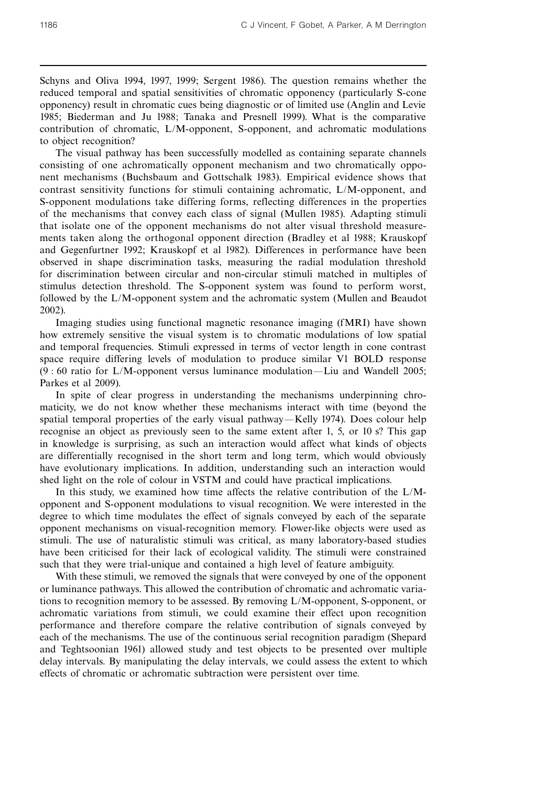Schyns and Oliva 1994, 1997, 1999; Sergent 1986). The question remains whether the reduced temporal and spatial sensitivities of chromatic opponency (particularly S-cone opponency) result in chromatic cues being diagnostic or of limited use (Anglin and Levie 1985; Biederman and Ju 1988; Tanaka and Presnell 1999). What is the comparative contribution of chromatic, L/M-opponent, S-opponent, and achromatic modulations to object recognition?

The visual pathway has been successfully modelled as containing separate channels consisting of one achromatically opponent mechanism and two chromatically opponent mechanisms (Buchsbaum and Gottschalk 1983). Empirical evidence shows that contrast sensitivity functions for stimuli containing achromatic, L/M-opponent, and S-opponent modulations take differing forms, reflecting differences in the properties of the mechanisms that convey each class of signal (Mullen 1985). Adapting stimuli that isolate one of the opponent mechanisms do not alter visual threshold measurements taken along the orthogonal opponent direction (Bradley et al 1988; Krauskopf and Gegenfurtner 1992; Krauskopf et al 1982). Differences in performance have been observed in shape discrimination tasks, measuring the radial modulation threshold for discrimination between circular and non-circular stimuli matched in multiples of stimulus detection threshold. The S-opponent system was found to perform worst, followed by the L/M-opponent system and the achromatic system (Mullen and Beaudot 2002).

Imaging studies using functional magnetic resonance imaging (fMRI) have shown how extremely sensitive the visual system is to chromatic modulations of low spatial and temporal frequencies. Stimuli expressed in terms of vector length in cone contrast space require differing levels of modulation to produce similar V1 BOLD response  $(9:60 \text{ ratio for } L/M$ -opponent versus luminance modulation—Liu and Wandell 2005; Parkes et al 2009).

In spite of clear progress in understanding the mechanisms underpinning chromaticity, we do not know whether these mechanisms interact with time (beyond the spatial temporal properties of the early visual pathway—Kelly 1974). Does colour help recognise an object as previously seen to the same extent after 1, 5, or 10 s? This gap in knowledge is surprising, as such an interaction would affect what kinds of objects are differentially recognised in the short term and long term, which would obviously have evolutionary implications. In addition, understanding such an interaction would shed light on the role of colour in VSTM and could have practical implications.

In this study, we examined how time affects the relative contribution of the L/Mopponent and S-opponent modulations to visual recognition. We were interested in the degree to which time modulates the effect of signals conveyed by each of the separate opponent mechanisms on visual-recognition memory. Flower-like objects were used as stimuli. The use of naturalistic stimuli was critical, as many laboratory-based studies have been criticised for their lack of ecological validity. The stimuli were constrained such that they were trial-unique and contained a high level of feature ambiguity.

With these stimuli, we removed the signals that were conveyed by one of the opponent or luminance pathways. This allowed the contribution of chromatic and achromatic variations to recognition memory to be assessed. By removing L/M-opponent, S-opponent, or achromatic variations from stimuli, we could examine their effect upon recognition performance and therefore compare the relative contribution of signals conveyed by each of the mechanisms. The use of the continuous serial recognition paradigm (Shepard and Teghtsoonian 1961) allowed study and test objects to be presented over multiple delay intervals. By manipulating the delay intervals, we could assess the extent to which effects of chromatic or achromatic subtraction were persistent over time.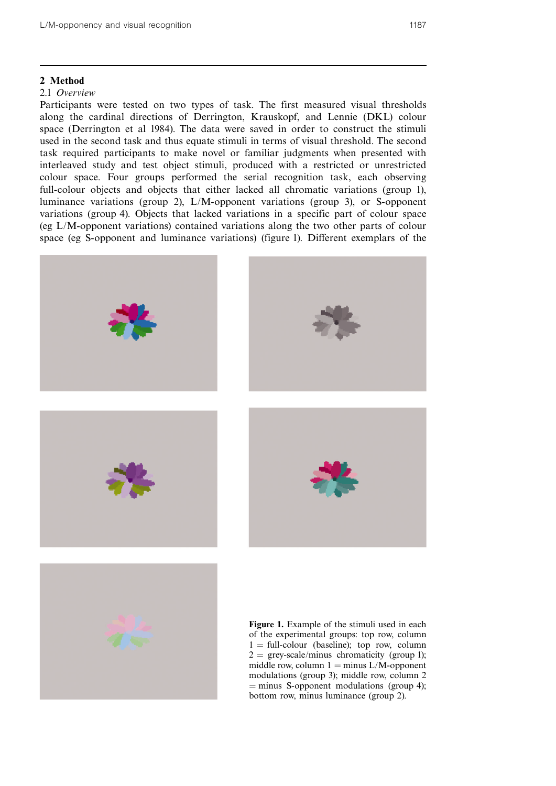# 2 Method

#### 2.1 Overview

Participants were tested on two types of task. The first measured visual thresholds along the cardinal directions of Derrington, Krauskopf, and Lennie (DKL) colour space (Derrington et al 1984). The data were saved in order to construct the stimuli used in the second task and thus equate stimuli in terms of visual threshold. The second task required participants to make novel or familiar judgments when presented with interleaved study and test object stimuli, produced with a restricted or unrestricted colour space. Four groups performed the serial recognition task, each observing full-colour objects and objects that either lacked all chromatic variations (group 1), luminance variations (group 2), L/M-opponent variations (group 3), or S-opponent variations (group 4). Objects that lacked variations in a specific part of colour space (eg L/M-opponent variations) contained variations along the two other parts of colour space (eg S-opponent and luminance variations) (figure 1). Different exemplars of the

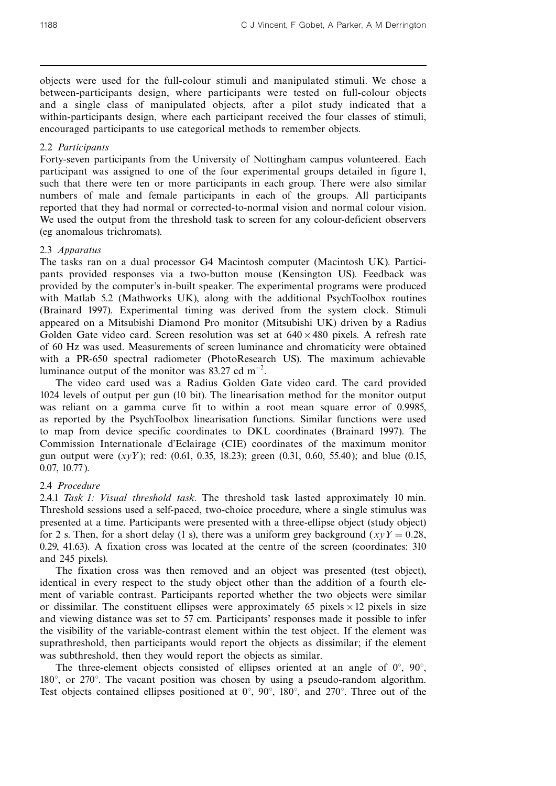objects were used for the full-colour stimuli and manipulated stimuli. We chose a between-participants design, where participants were tested on full-colour objects and a single class of manipulated objects, after a pilot study indicated that a within-participants design, where each participant received the four classes of stimuli, encouraged participants to use categorical methods to remember objects.

#### 2.2 Participants

Forty-seven participants from the University of Nottingham campus volunteered. Each participant was assigned to one of the four experimental groups detailed in figure 1, such that there were ten or more participants in each group. There were also similar numbers of male and female participants in each of the groups. All participants reported that they had normal or corrected-to-normal vision and normal colour vision. We used the output from the threshold task to screen for any colour-deficient observers (eg anomalous trichromats).

#### 2.3 Apparatus

The tasks ran on a dual processor G4 Macintosh computer (Macintosh UK). Participants provided responses via a two-button mouse (Kensington US). Feedback was provided by the computer's in-built speaker. The experimental programs were produced with Matlab 5.2 (Mathworks UK), along with the additional PsychToolbox routines (Brainard 1997). Experimental timing was derived from the system clock. Stimuli appeared on a Mitsubishi Diamond Pro monitor (Mitsubishi UK) driven by a Radius Golden Gate video card. Screen resolution was set at  $640 \times 480$  pixels. A refresh rate of 60 Hz was used. Measurements of screen luminance and chromaticity were obtained with a PR-650 spectral radiometer (PhotoResearch US). The maximum achievable luminance output of the monitor was 83.27 cd  $m^{-2}$ .

The video card used was a Radius Golden Gate video card. The card provided 1024 levels of output per gun (10 bit). The linearisation method for the monitor output was reliant on a gamma curve fit to within a root mean square error of 0.9985, as reported by the PsychToolbox linearisation functions. Similar functions were used to map from device specific coordinates to DKL coordinates (Brainard 1997). The Commission Internationale d'Eclairage (CIE) coordinates of the maximum monitor gun output were  $(xyY)$ ; red: (0.61, 0.35, 18.23); green (0.31, 0.60, 55.40); and blue (0.15, 0.07, 10.77 ).

#### 2.4 Procedure

2.4.1 Task 1: Visual threshold task. The threshold task lasted approximately 10 min. Threshold sessions used a self-paced, two-choice procedure, where a single stimulus was presented at a time. Participants were presented with a three-ellipse object (study object) for 2 s. Then, for a short delay (1 s), there was a uniform grey background ( $xyY = 0.28$ , 0.29, 41.63). A fixation cross was located at the centre of the screen (coordinates: 310 and 245 pixels).

The fixation cross was then removed and an object was presented (test object), identical in every respect to the study object other than the addition of a fourth element of variable contrast. Participants reported whether the two objects were similar or dissimilar. The constituent ellipses were approximately 65 pixels  $\times$  12 pixels in size and viewing distance was set to 57 cm. Participants' responses made it possible to infer the visibility of the variable-contrast element within the test object. If the element was suprathreshold, then participants would report the objects as dissimilar; if the element was subthreshold, then they would report the objects as similar.

The three-element objects consisted of ellipses oriented at an angle of  $0^{\circ}$ ,  $90^{\circ}$ , 180 $^{\circ}$ , or 270 $^{\circ}$ . The vacant position was chosen by using a pseudo-random algorithm. Test objects contained ellipses positioned at  $0^{\circ}$ ,  $90^{\circ}$ ,  $180^{\circ}$ , and  $270^{\circ}$ . Three out of the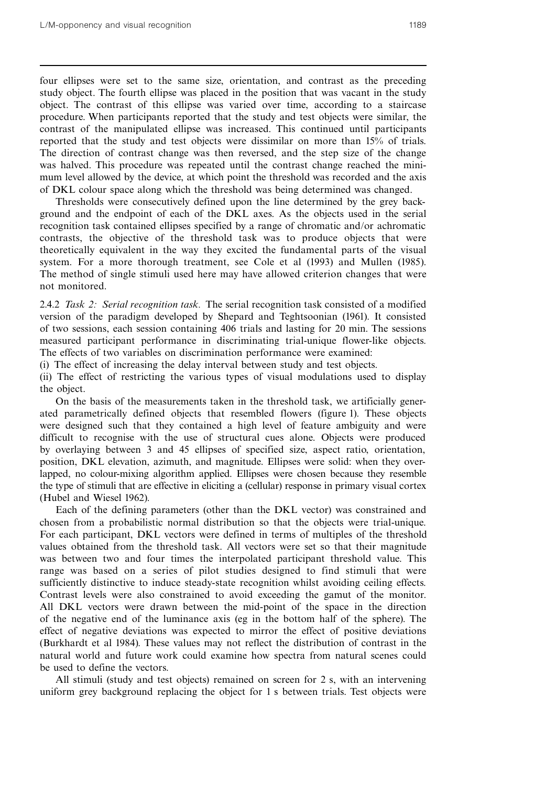four ellipses were set to the same size, orientation, and contrast as the preceding study object. The fourth ellipse was placed in the position that was vacant in the study object. The contrast of this ellipse was varied over time, according to a staircase procedure. When participants reported that the study and test objects were similar, the contrast of the manipulated ellipse was increased. This continued until participants reported that the study and test objects were dissimilar on more than 15% of trials. The direction of contrast change was then reversed, and the step size of the change was halved. This procedure was repeated until the contrast change reached the minimum level allowed by the device, at which point the threshold was recorded and the axis of DKL colour space along which the threshold was being determined was changed.

Thresholds were consecutively defined upon the line determined by the grey background and the endpoint of each of the DKL axes. As the objects used in the serial recognition task contained ellipses specified by a range of chromatic and/or achromatic contrasts, the objective of the threshold task was to produce objects that were theoretically equivalent in the way they excited the fundamental parts of the visual system. For a more thorough treatment, see Cole et al (1993) and Mullen (1985). The method of single stimuli used here may have allowed criterion changes that were not monitored.

2.4.2 Task 2: Serial recognition task. The serial recognition task consisted of a modified version of the paradigm developed by Shepard and Teghtsoonian (1961). It consisted of two sessions, each session containing 406 trials and lasting for 20 min. The sessions measured participant performance in discriminating trial-unique flower-like objects. The effects of two variables on discrimination performance were examined:

(i) The effect of increasing the delay interval between study and test objects.

(ii) The effect of restricting the various types of visual modulations used to display the object.

On the basis of the measurements taken in the threshold task, we artificially generated parametrically defined objects that resembled flowers (figure 1). These objects were designed such that they contained a high level of feature ambiguity and were difficult to recognise with the use of structural cues alone. Objects were produced by overlaying between 3 and 45 ellipses of specified size, aspect ratio, orientation, position, DKL elevation, azimuth, and magnitude. Ellipses were solid: when they overlapped, no colour-mixing algorithm applied. Ellipses were chosen because they resemble the type of stimuli that are effective in eliciting a (cellular) response in primary visual cortex (Hubel and Wiesel 1962).

Each of the defining parameters (other than the DKL vector) was constrained and chosen from a probabilistic normal distribution so that the objects were trial-unique. For each participant, DKL vectors were defined in terms of multiples of the threshold values obtained from the threshold task. All vectors were set so that their magnitude was between two and four times the interpolated participant threshold value. This range was based on a series of pilot studies designed to find stimuli that were sufficiently distinctive to induce steady-state recognition whilst avoiding ceiling effects. Contrast levels were also constrained to avoid exceeding the gamut of the monitor. All DKL vectors were drawn between the mid-point of the space in the direction of the negative end of the luminance axis (eg in the bottom half of the sphere). The effect of negative deviations was expected to mirror the effect of positive deviations (Burkhardt et al 1984). These values may not reflect the distribution of contrast in the natural world and future work could examine how spectra from natural scenes could be used to define the vectors.

All stimuli (study and test objects) remained on screen for 2 s, with an intervening uniform grey background replacing the object for 1 s between trials. Test objects were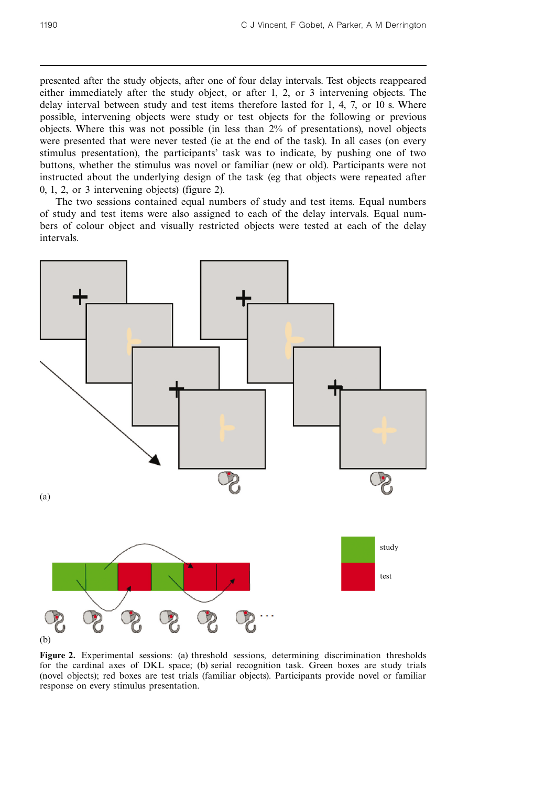presented after the study objects, after one of four delay intervals. Test objects reappeared either immediately after the study object, or after 1, 2, or 3 intervening objects. The delay interval between study and test items therefore lasted for 1, 4, 7, or 10 s. Where possible, intervening objects were study or test objects for the following or previous objects. Where this was not possible (in less than 2% of presentations), novel objects were presented that were never tested (ie at the end of the task). In all cases (on every stimulus presentation), the participants' task was to indicate, by pushing one of two buttons, whether the stimulus was novel or familiar (new or old). Participants were not instructed about the underlying design of the task (eg that objects were repeated after 0, 1, 2, or 3 intervening objects) (figure 2).

The two sessions contained equal numbers of study and test items. Equal numbers of study and test items were also assigned to each of the delay intervals. Equal numbers of colour object and visually restricted objects were tested at each of the delay intervals.



(b)

Figure 2. Experimental sessions: (a) threshold sessions, determining discrimination thresholds for the cardinal axes of DKL space; (b) serial recognition task. Green boxes are study trials (novel objects); red boxes are test trials (familiar objects). Participants provide novel or familiar response on every stimulus presentation.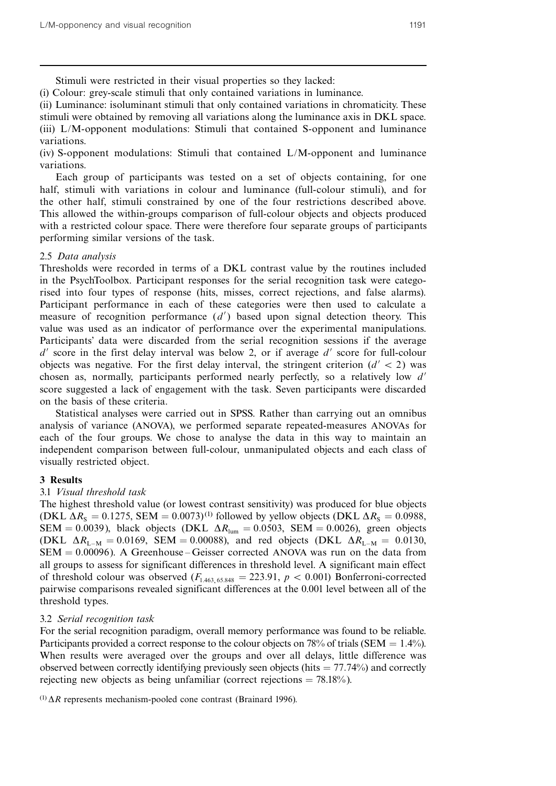Stimuli were restricted in their visual properties so they lacked:

(i) Colour: grey-scale stimuli that only contained variations in luminance.

(ii) Luminance: isoluminant stimuli that only contained variations in chromaticity. These stimuli were obtained by removing all variations along the luminance axis in DKL space. (iii) L/M-opponent modulations: Stimuli that contained S-opponent and luminance variations.

(iv) S-opponent modulations: Stimuli that contained L/M-opponent and luminance variations.

Each group of participants was tested on a set of objects containing, for one half, stimuli with variations in colour and luminance (full-colour stimuli), and for the other half, stimuli constrained by one of the four restrictions described above. This allowed the within-groups comparison of full-colour objects and objects produced with a restricted colour space. There were therefore four separate groups of participants performing similar versions of the task.

## 2.5 Data analysis

Thresholds were recorded in terms of a DKL contrast value by the routines included in the PsychToolbox. Participant responses for the serial recognition task were categorised into four types of response (hits, misses, correct rejections, and false alarms). Participant performance in each of these categories were then used to calculate a measure of recognition performance  $(d')$  based upon signal detection theory. This value was used as an indicator of performance over the experimental manipulations. Participants' data were discarded from the serial recognition sessions if the average  $d'$  score in the first delay interval was below 2, or if average  $d'$  score for full-colour objects was negative. For the first delay interval, the stringent criterion  $(d' < 2)$  was chosen as, normally, participants performed nearly perfectly, so a relatively low  $d'$ score suggested a lack of engagement with the task. Seven participants were discarded on the basis of these criteria.

Statistical analyses were carried out in SPSS. Rather than carrying out an omnibus analysis of variance (ANOVA), we performed separate repeated-measures ANOVAs for each of the four groups. We chose to analyse the data in this way to maintain an independent comparison between full-colour, unmanipulated objects and each class of visually restricted object.

#### 3 Results

#### 3.1 Visual threshold task

The highest threshold value (or lowest contrast sensitivity) was produced for blue objects (DKL  $\Delta R_{\rm s} = 0.1275$ , SEM = 0.0073)<sup>(1)</sup> followed by yellow objects (DKL  $\Delta R_{\rm s} = 0.0988$ , SEM = 0.0039), black objects (DKL  $\Delta R_{\text{lum}} = 0.0503$ , SEM = 0.0026), green objects (DKL  $\Delta R_{L-M} = 0.0169$ , SEM = 0.00088), and red objects (DKL  $\Delta R_{L-M} = 0.0130$ ,  $SEM = 0.00096$ ). A Greenhouse – Geisser corrected ANOVA was run on the data from all groups to assess for significant differences in threshold level. A significant main effect of threshold colour was observed  $(F<sub>1.463, 65.848</sub> = 223.91, p < 0.001)$  Bonferroni-corrected pairwise comparisons revealed significant differences at the 0.001 level between all of the threshold types.

#### 3.2 Serial recognition task

For the serial recognition paradigm, overall memory performance was found to be reliable. Participants provided a correct response to the colour objects on 78% of trials (SEM  $= 1.4\%$ ). When results were averaged over the groups and over all delays, little difference was observed between correctly identifying previously seen objects (hits  $= 77.74\%$ ) and correctly rejecting new objects as being unfamiliar (correct rejections  $= 78.18\%$ ).

 $(1)$   $\Delta R$  represents mechanism-pooled cone contrast (Brainard 1996).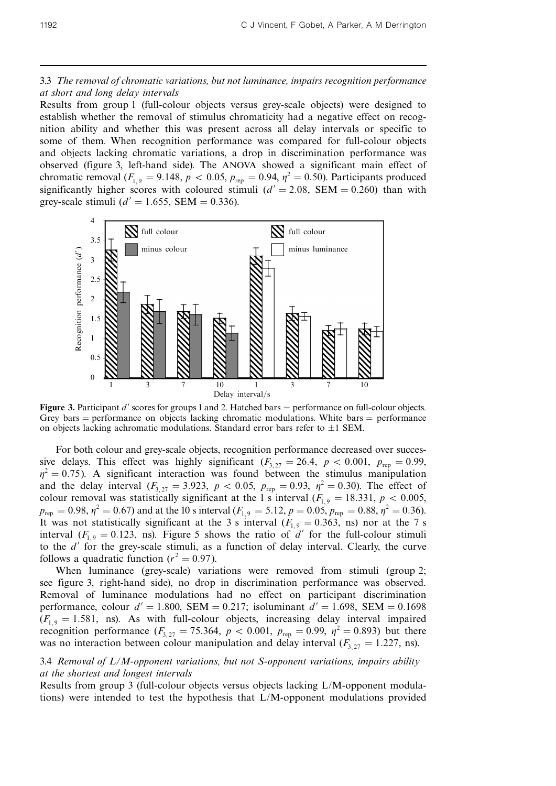#### 3.3 The removal of chromatic variations, but not luminance, impairs recognition performance at short and long delay intervals

Results from group 1 (full-colour objects versus grey-scale objects) were designed to establish whether the removal of stimulus chromaticity had a negative effect on recognition ability and whether this was present across all delay intervals or specific to some of them. When recognition performance was compared for full-colour objects and objects lacking chromatic variations, a drop in discrimination performance was observed (figure 3, left-hand side). The ANOVA showed a significant main effect of chromatic removal  $(F_{1,9} = 9.148, p < 0.05, p_{\text{rep}} = 0.94, \eta^2 = 0.50)$ . Participants produced significantly higher scores with coloured stimuli ( $d' = 2.08$ , SEM = 0.260) than with grey-scale stimuli ( $d' = 1.655$ , SEM = 0.336).



Figure 3. Participant  $d'$  scores for groups 1 and 2. Hatched bars = performance on full-colour objects. Grey bars  $=$  performance on objects lacking chromatic modulations. White bars  $=$  performance on objects lacking achromatic modulations. Standard error bars refer to  $\pm 1$  SEM.

For both colour and grey-scale objects, recognition performance decreased over successive delays. This effect was highly significant  $(F_{3,27} = 26.4, p < 0.001, p_{\text{rep}} = 0.99,$  $\eta^2 = 0.75$ ). A significant interaction was found between the stimulus manipulation and the delay interval  $(F_{3,27} = 3.923, p < 0.05, p_{rep} = 0.93, \eta^2 = 0.30)$ . The effect of colour removal was statistically significant at the 1 s interval ( $F_{1,9} = 18.331, p < 0.005$ ,  $p_{\text{rep}} = 0.98, \eta^2 = 0.67$  and at the 10 s interval  $(F_{1,9} = 5.12, p = 0.05, p_{\text{rep}} = 0.88, \eta^2 = 0.36)$ . It was not statistically significant at the 3 s interval  $(F_{1,9} = 0.363, \text{ ns})$  nor at the 7 s interval  $(F_{1,9} = 0.123, \text{ ns})$ . Figure 5 shows the ratio of d' for the full-colour stimuli to the  $d'$  for the grey-scale stimuli, as a function of delay interval. Clearly, the curve follows a quadratic function ( $r^2 = 0.97$ ).

When luminance (grey-scale) variations were removed from stimuli (group 2; see figure 3, right-hand side), no drop in discrimination performance was observed. Removal of luminance modulations had no effect on participant discrimination performance, colour  $d' = 1.800$ , SEM = 0.217; isoluminant  $d' = 1.698$ , SEM = 0.1698  $(F_{1,9} = 1.581, \text{ ns})$ . As with full-colour objects, increasing delay interval impaired recognition performance  $(F_{3,27} = 75.364, p < 0.001, p_{\text{rep}} = 0.99, \eta^2 = 0.893)$  but there was no interaction between colour manipulation and delay interval  $(F_{3,27} = 1.227, \text{ns})$ .

## 3.4 Removal of  $L/M$ -opponent variations, but not S-opponent variations, impairs ability at the shortest and longest intervals

Results from group 3 (full-colour objects versus objects lacking L/M-opponent modulations) were intended to test the hypothesis that L/M-opponent modulations provided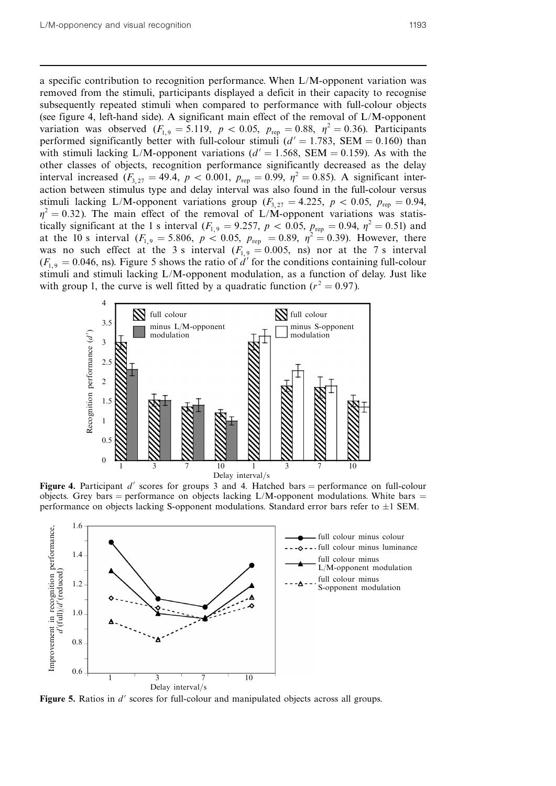a specific contribution to recognition performance. When L/M-opponent variation was removed from the stimuli, participants displayed a deficit in their capacity to recognise subsequently repeated stimuli when compared to performance with full-colour objects (see figure 4, left-hand side). A significant main effect of the removal of L/M-opponent variation was observed  $(F_{1,9} = 5.119, p < 0.05, p_{rep} = 0.88, \eta^2 = 0.36)$ . Participants performed significantly better with full-colour stimuli ( $d' = 1.783$ , SEM = 0.160) than with stimuli lacking L/M-opponent variations ( $d' = 1.568$ , SEM = 0.159). As with the other classes of objects, recognition performance significantly decreased as the delay interval increased  $(F_{3,27} = 49.4, p < 0.001, p_{\text{rep}} = 0.99, \eta^2 = 0.85)$ . A significant interaction between stimulus type and delay interval was also found in the full-colour versus stimuli lacking L/M-opponent variations group  $(F_{3,27} = 4.225, p < 0.05, p_{\text{rep}} = 0.94,$  $\eta^2 = 0.32$ ). The main effect of the removal of L/M-opponent variations was statistically significant at the 1 s interval  $(F_{1,9} = 9.257, p < 0.05, p_{\text{rep}} = 0.94, \eta^2 = 0.51)$  and at the 10 s interval  $(F_{1,9} = 5.806, p < 0.05, p_{\text{rep}} = 0.89, \eta^2 = 0.39)$ . However, there was no such effect at the 3 s interval  $(F_{1,9} = 0.005, \text{ ns})$  nor at the 7 s interval  $(F_{1,9} = 0.046, \text{ ns})$ . Figure 5 shows the ratio of d' for the conditions containing full-colour stimuli and stimuli lacking L/M-opponent modulation, as a function of delay. Just like with group 1, the curve is well fitted by a quadratic function ( $r^2 = 0.97$ ).



Figure 4. Participant  $d'$  scores for groups 3 and 4. Hatched bars = performance on full-colour objects. Grey bars = performance on objects lacking  $L/M$ -opponent modulations. White bars = performance on objects lacking S-opponent modulations. Standard error bars refer to  $\pm 1$  SEM.



Figure 5. Ratios in  $d'$  scores for full-colour and manipulated objects across all groups.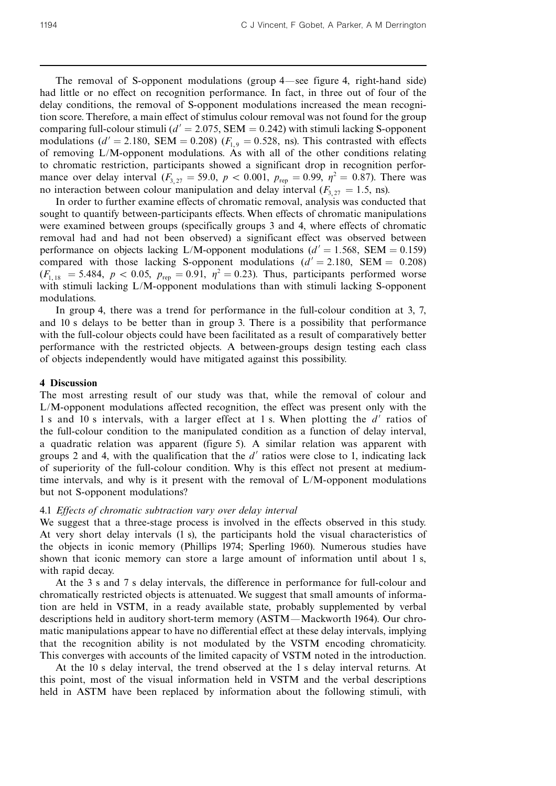The removal of S-opponent modulations (group  $4$ —see figure 4, right-hand side) had little or no effect on recognition performance. In fact, in three out of four of the delay conditions, the removal of S-opponent modulations increased the mean recognition score. Therefore, a main effect of stimulus colour removal was not found for the group comparing full-colour stimuli ( $d' = 2.075$ , SEM = 0.242) with stimuli lacking S-opponent modulations ( $d' = 2.180$ , SEM = 0.208) ( $F_{1,9} = 0.528$ , ns). This contrasted with effects of removing L/M-opponent modulations. As with all of the other conditions relating to chromatic restriction, participants showed a significant drop in recognition performance over delay interval  $(F_{3,27} = 59.0, p < 0.001, p_{\text{rep}} = 0.99, \eta^2 = 0.87)$ . There was no interaction between colour manipulation and delay interval  $(F_{3,27} = 1.5, \text{ ns})$ .

In order to further examine effects of chromatic removal, analysis was conducted that sought to quantify between-participants effects. When effects of chromatic manipulations were examined between groups (specifically groups 3 and 4, where effects of chromatic removal had and had not been observed) a significant effect was observed between performance on objects lacking L/M-opponent modulations ( $d' = 1.568$ , SEM = 0.159) compared with those lacking S-opponent modulations  $(d' = 2.180, SEM = 0.208)$  $(F_{1,18} = 5.484, p < 0.05, p_{\text{rep}} = 0.91, \eta^2 = 0.23)$ . Thus, participants performed worse with stimuli lacking L/M-opponent modulations than with stimuli lacking S-opponent modulations.

In group 4, there was a trend for performance in the full-colour condition at 3, 7, and 10 s delays to be better than in group 3. There is a possibility that performance with the full-colour objects could have been facilitated as a result of comparatively better performance with the restricted objects. A between-groups design testing each class of objects independently would have mitigated against this possibility.

#### 4 Discussion

The most arresting result of our study was that, while the removal of colour and L/M-opponent modulations affected recognition, the effect was present only with the 1 s and 10 s intervals, with a larger effect at 1 s. When plotting the  $d'$  ratios of the full-colour condition to the manipulated condition as a function of delay interval, a quadratic relation was apparent (figure 5). A similar relation was apparent with groups 2 and 4, with the qualification that the  $d'$  ratios were close to 1, indicating lack of superiority of the full-colour condition. Why is this effect not present at mediumtime intervals, and why is it present with the removal of L/M-opponent modulations but not S-opponent modulations?

#### 4.1 Effects of chromatic subtraction vary over delay interval

We suggest that a three-stage process is involved in the effects observed in this study. At very short delay intervals (1 s), the participants hold the visual characteristics of the objects in iconic memory (Phillips 1974; Sperling 1960). Numerous studies have shown that iconic memory can store a large amount of information until about 1 s, with rapid decay.

At the 3 s and 7 s delay intervals, the difference in performance for full-colour and chromatically restricted objects is attenuated. We suggest that small amounts of information are held in VSTM, in a ready available state, probably supplemented by verbal descriptions held in auditory short-term memory (ASTM—Mackworth 1964). Our chromatic manipulations appear to have no differential effect at these delay intervals, implying that the recognition ability is not modulated by the VSTM encoding chromaticity. This converges with accounts of the limited capacity of VSTM noted in the introduction.

At the 10 s delay interval, the trend observed at the 1 s delay interval returns. At this point, most of the visual information held in VSTM and the verbal descriptions held in ASTM have been replaced by information about the following stimuli, with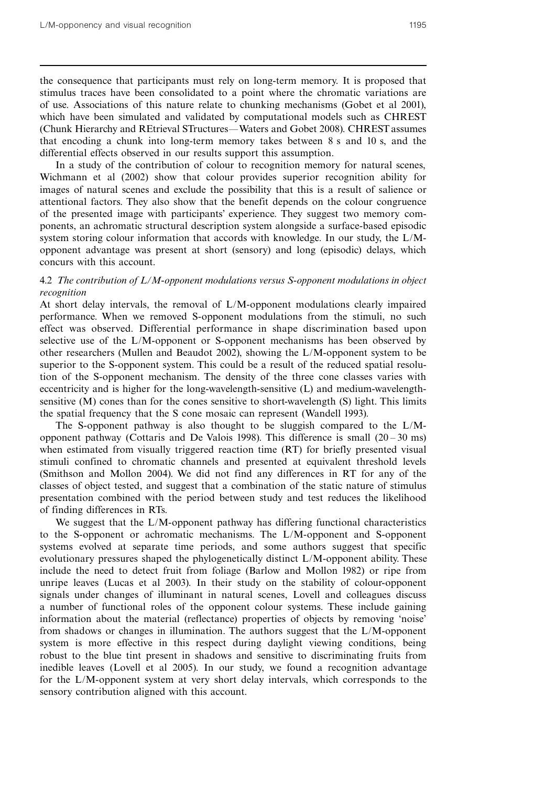the consequence that participants must rely on long-term memory. It is proposed that stimulus traces have been consolidated to a point where the chromatic variations are of use. Associations of this nature relate to chunking mechanisms (Gobet et al 2001), which have been simulated and validated by computational models such as CHREST (Chunk Hierarchy and REtrieval STructures—Waters and Gobet 2008). CHREST assumes that encoding a chunk into long-term memory takes between 8 s and 10 s, and the differential effects observed in our results support this assumption.

In a study of the contribution of colour to recognition memory for natural scenes, Wichmann et al (2002) show that colour provides superior recognition ability for images of natural scenes and exclude the possibility that this is a result of salience or attentional factors. They also show that the benefit depends on the colour congruence of the presented image with participants' experience. They suggest two memory components, an achromatic structural description system alongside a surface-based episodic system storing colour information that accords with knowledge. In our study, the L/Mopponent advantage was present at short (sensory) and long (episodic) delays, which concurs with this account.

#### 4.2 The contribution of L/M-opponent modulations versus S-opponent modulations in object recognition

At short delay intervals, the removal of L/M-opponent modulations clearly impaired performance. When we removed S-opponent modulations from the stimuli, no such effect was observed. Differential performance in shape discrimination based upon selective use of the L/M-opponent or S-opponent mechanisms has been observed by other researchers (Mullen and Beaudot 2002), showing the L/M-opponent system to be superior to the S-opponent system. This could be a result of the reduced spatial resolution of the S-opponent mechanism. The density of the three cone classes varies with eccentricity and is higher for the long-wavelength-sensitive (L) and medium-wavelengthsensitive (M) cones than for the cones sensitive to short-wavelength (S) light. This limits the spatial frequency that the S cone mosaic can represent (Wandell 1993).

The S-opponent pathway is also thought to be sluggish compared to the L/Mopponent pathway (Cottaris and De Valois 1998). This difference is small  $(20 - 30 \text{ ms})$ when estimated from visually triggered reaction time (RT) for briefly presented visual stimuli confined to chromatic channels and presented at equivalent threshold levels (Smithson and Mollon 2004). We did not find any differences in RT for any of the classes of object tested, and suggest that a combination of the static nature of stimulus presentation combined with the period between study and test reduces the likelihood of finding differences in RTs.

We suggest that the L/M-opponent pathway has differing functional characteristics to the S-opponent or achromatic mechanisms. The L/M-opponent and S-opponent systems evolved at separate time periods, and some authors suggest that specific evolutionary pressures shaped the phylogenetically distinct L/M-opponent ability. These include the need to detect fruit from foliage (Barlow and Mollon 1982) or ripe from unripe leaves (Lucas et al 2003). In their study on the stability of colour-opponent signals under changes of illuminant in natural scenes, Lovell and colleagues discuss a number of functional roles of the opponent colour systems. These include gaining information about the material (reflectance) properties of objects by removing `noise' from shadows or changes in illumination. The authors suggest that the L/M-opponent system is more effective in this respect during daylight viewing conditions, being robust to the blue tint present in shadows and sensitive to discriminating fruits from inedible leaves (Lovell et al 2005). In our study, we found a recognition advantage for the L/M-opponent system at very short delay intervals, which corresponds to the sensory contribution aligned with this account.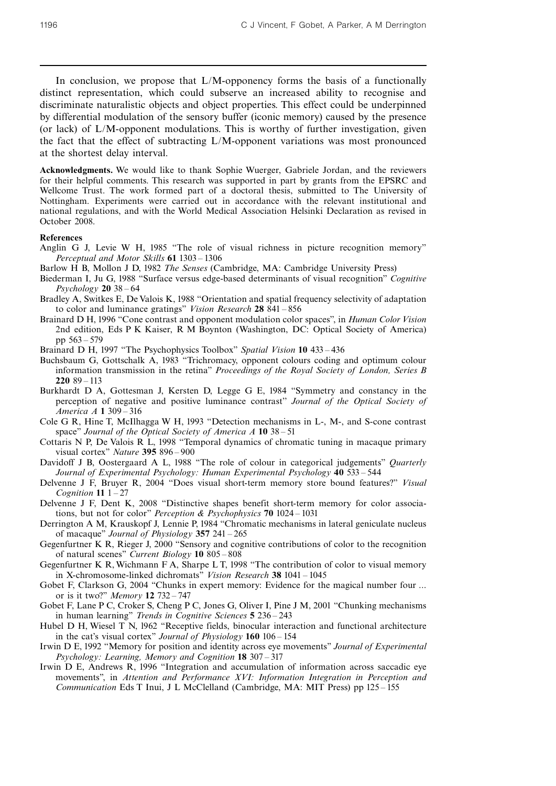In conclusion, we propose that L/M-opponency forms the basis of a functionally distinct representation, which could subserve an increased ability to recognise and discriminate naturalistic objects and object properties. This effect could be underpinned by differential modulation of the sensory buffer (iconic memory) caused by the presence (or lack) of L/M-opponent modulations. This is worthy of further investigation, given the fact that the effect of subtracting L/M-opponent variations was most pronounced at the shortest delay interval.

Acknowledgments. We would like to thank Sophie Wuerger, Gabriele Jordan, and the reviewers for their helpful comments. This research was supported in part by grants from the EPSRC and Wellcome Trust. The work formed part of a doctoral thesis, submitted to The University of Nottingham. Experiments were carried out in accordance with the relevant institutional and national regulations, and with the World Medical Association Helsinki Declaration as revised in October 2008.

#### References

- Anglin G J, Levie W H, 1985 "The role of visual richness in picture recognition memory" Perceptual and Motor Skills 61 1303 - 1306
- Barlow H B, Mollon J D, 1982 The Senses (Cambridge, MA: Cambridge University Press)
- Biederman I, Ju G, 1988 "Surface versus edge-based determinants of visual recognition" Cognitive  $Psychology$  20 38  $- 64$
- Bradley A, Switkes E, De Valois K, 1988 "Orientation and spatial frequency selectivity of adaptation to color and luminance gratings" Vision Research  $28\,841 - 856$
- Brainard D H, 1996 "Cone contrast and opponent modulation color spaces", in Human Color Vision 2nd edition, Eds P K Kaiser, R M Boynton (Washington, DC: Optical Society of America) pp  $563 - 579$
- Brainard D H, 1997 "The Psychophysics Toolbox" Spatial Vision 10 433 436
- Buchsbaum G, Gottschalk A, 1983 "Trichromacy, opponent colours coding and optimum colour information transmission in the retina'' Proceedings of the Royal Society of London, Series B  $220 \t89 - 113$
- Burkhardt D A, Gottesman J, Kersten D, Legge G E, 1984 "Symmetry and constancy in the perception of negative and positive luminance contrast" Journal of the Optical Society of America A 1 309 – 316
- Cole G R, Hine T, McIlhagga W H, 1993 "Detection mechanisms in L-, M-, and S-cone contrast space" Journal of the Optical Society of America  $A$  10 38 - 51
- Cottaris N P, De Valois R L, 1998 "Temporal dynamics of chromatic tuning in macaque primary visual cortex" Nature 395 896 - 900
- Davidoff J B, Oostergaard A L, 1988 "The role of colour in categorical judgements" Quarterly Journal of Experimental Psychology: Human Experimental Psychology 40 533 - 544
- Delvenne J F, Bruyer R, 2004 "Does visual short-term memory store bound features?" Visual Cognition  $11$   $1 - 27$
- Delvenne J F, Dent K, 2008 "Distinctive shapes benefit short-term memory for color associations, but not for color" *Perception & Psychophysics*  $70$  1024 - 1031
- Derrington A M, Krauskopf J, Lennie P, 1984 "Chromatic mechanisms in lateral geniculate nucleus of macaque" Journal of Physiology  $357$  241 - 265
- Gegenfurtner K R, Rieger J, 2000 "Sensory and cognitive contributions of color to the recognition of natural scenes" Current Biology 10 805 - 808
- Gegenfurtner K R, Wichmann F A, Sharpe L T, 1998 "The contribution of color to visual memory in X-chromosome-linked dichromats" Vision Research 38 1041 - 1045
- Gobet F, Clarkson G, 2004 "Chunks in expert memory: Evidence for the magical number four ... or is it two?" Memory 12 732 - 747
- Gobet F, Lane P C, Croker S, Cheng P C, Jones G, Oliver I, Pine J M, 2001 "Chunking mechanisms in human learning" Trends in Cognitive Sciences 5 236 - 243
- Hubel D H, Wiesel T N, 1962 "Receptive fields, binocular interaction and functional architecture in the cat's visual cortex" Journal of Physiology  $160 \ 106 - 154$
- Irwin D E, 1992 "Memory for position and identity across eye movements" Journal of Experimental Psychology: Learning, Memory and Cognition 18 307 - 317
- Irwin D E, Andrews R, 1996 "Integration and accumulation of information across saccadic eye movements", in Attention and Performance XVI: Information Integration in Perception and *Communication* Eds T Inui, J L McClelland (Cambridge, MA: MIT Press) pp  $125 - 155$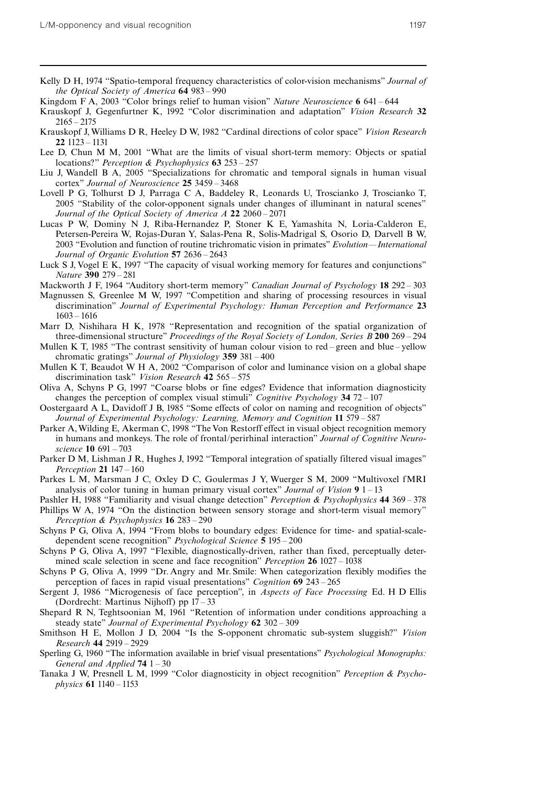- Kelly D H, 1974 "Spatio-temporal frequency characteristics of color-vision mechanisms" Journal of the Optical Society of America  $64$  983 - 990
- Kingdom F A, 2003 "Color brings relief to human vision" Nature Neuroscience 6 641 644
- Krauskopf J, Gegenfurtner K, 1992 "Color discrimination and adaptation" Vision Research 32  $2165 - 2175$
- Krauskopf J, Williams D R, Heeley D W, 1982 "Cardinal directions of color space" Vision Research 22 1123 ^ 1131
- Lee D, Chun M M, 2001 "What are the limits of visual short-term memory: Objects or spatial locations?" Perception & Psychophysics 63 253 - 257
- Liu J, Wandell B A, 2005 "Specializations for chromatic and temporal signals in human visual cortex" Journal of Neuroscience 25 3459 - 3468
- Lovell P G, Tolhurst D J, Parraga C A, Baddeley R, Leonards U, Troscianko J, Troscianko T, 2005 ``Stability of the color-opponent signals under changes of illuminant in natural scenes'' Journal of the Optical Society of America  $A$  22 2060 - 2071
- Lucas P W, Dominy N J, Riba-Hernandez P, Stoner K E, Yamashita N, Loria-Calderon E, Petersen-Pereira W, Rojas-Duran Y, Salas-Pena R, Solis-Madrigal S, Osorio D, Darvell B W, 2003 "Evolution and function of routine trichromatic vision in primates" Evolution—International Journal of Organic Evolution 57 2636 - 2643
- Luck S J, Vogel E K, 1997 "The capacity of visual working memory for features and conjunctions" Nature 390 279 - 281
- Mackworth J F, 1964 "Auditory short-term memory" Canadian Journal of Psychology 18 292 303
- Magnussen S, Greenlee M W, 1997 "Competition and sharing of processing resources in visual discrimination" Journal of Experimental Psychology: Human Perception and Performance 23  $1603 - 1616$
- Marr D, Nishihara H K, 1978 "Representation and recognition of the spatial organization of three-dimensional structure" Proceedings of the Royal Society of London, Series B 200 269 - 294
- Mullen K T, 1985 "The contrast sensitivity of human colour vision to red green and blue yellow chromatic gratings" Journal of Physiology  $359 \frac{381 - 400}{ }$
- Mullen K T, Beaudot W H A,  $2002$  "Comparison of color and luminance vision on a global shape discrimination task" Vision Research 42 565 - 575
- Oliva A, Schyns P G, 1997 "Coarse blobs or fine edges? Evidence that information diagnosticity changes the perception of complex visual stimuli" Cognitive Psychology  $34$  72 – 107
- Oostergaard A L, Davidoff J B, 1985 "Some effects of color on naming and recognition of objects" Journal of Experimental Psychology: Learning, Memory and Cognition 11 579 - 587
- Parker A, Wilding E, Akerman C, 1998 "The Von Restorff effect in visual object recognition memory in humans and monkeys. The role of frontal/perirhinal interaction" Journal of Cognitive Neuroscience 10 691 - 703
- Parker D M, Lishman J R, Hughes J, 1992 "Temporal integration of spatially filtered visual images" Perception  $21 147 - 160$
- Parkes L M, Marsman J C, Oxley D C, Goulermas J Y, Wuerger S M, 2009 "Multivoxel fMRI analysis of color tuning in human primary visual cortex" Journal of Vision 9  $1 - 13$
- Pashler H, 1988 "Familiarity and visual change detection" Perception & Psychophysics 44 369 378
- Phillips W A, 1974 "On the distinction between sensory storage and short-term visual memory" Perception & Psychophysics  $16 \frac{283 - 290}{290}$
- Schyns P G, Oliva A, 1994 "From blobs to boundary edges: Evidence for time- and spatial-scaledependent scene recognition" *Psychological Science* 5 195 – 200
- Schyns P G, Oliva A, 1997 "Flexible, diagnostically-driven, rather than fixed, perceptually determined scale selection in scene and face recognition" Perception  $26$  1027  $-$  1038
- Schyns P G, Oliva A, 1999 "Dr. Angry and Mr. Smile: When categorization flexibly modifies the perception of faces in rapid visual presentations" Cognition 69 243 - 265
- Sergent J, 1986 "Microgenesis of face perception", in Aspects of Face Processing Ed. H D Ellis (Dordrecht: Martinus Nijhoff) pp 17 ^ 33
- Shepard R N, Teghtsoonian M, 1961 "Retention of information under conditions approaching a steady state" Journal of Experimental Psychology 62 302 - 309
- Smithson H E, Mollon J D, 2004 "Is the S-opponent chromatic sub-system sluggish?" Vision Research 44 2919 - 2929
- Sperling G, 1960 "The information available in brief visual presentations" *Psychological Monographs*: General and Applied  $74$  1  $- 30$
- Tanaka J W, Presnell L M, 1999 "Color diagnosticity in object recognition" Perception & Psycho*physics* **61** 1140  $-$  1153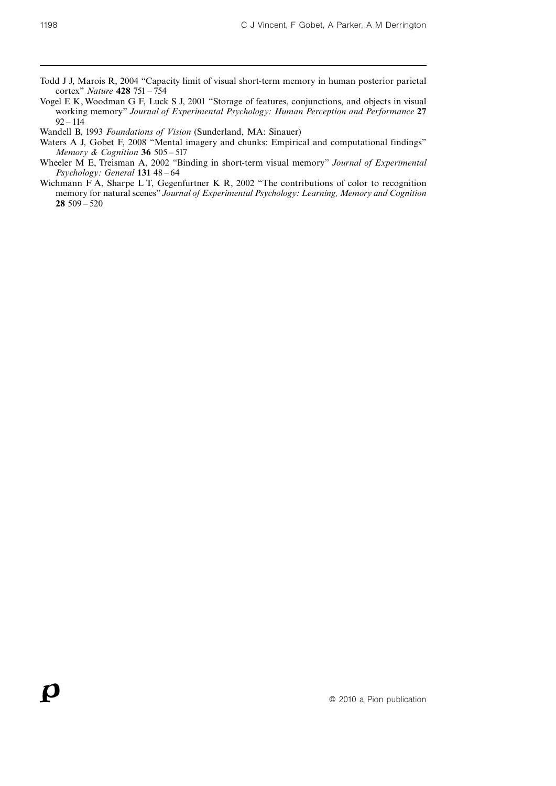- Todd J J, Marois R, 2004 "Capacity limit of visual short-term memory in human posterior parietal cortex" Nature 428 751 - 754
- Vogel E K, Woodman G F, Luck S J, 2001 "Storage of features, conjunctions, and objects in visual working memory'' Journal of Experimental Psychology: Human Perception and Performance 27  $92 - 114$
- Wandell B, 1993 Foundations of Vision (Sunderland, MA: Sinauer)
- Waters A J, Gobet F, 2008 "Mental imagery and chunks: Empirical and computational findings" Memory & Cognition 36  $505 - 517$
- Wheeler M E, Treisman A, 2002 "Binding in short-term visual memory" Journal of Experimental Psychology: General 131 48 - 64
- Wichmann  $\overline{F}A$ , Sharpe L T, Gegenfurtner K R, 2002 "The contributions of color to recognition memory for natural scenes" Journal of Experimental Psychology: Learning, Memory and Cognition  $28509 - 520$